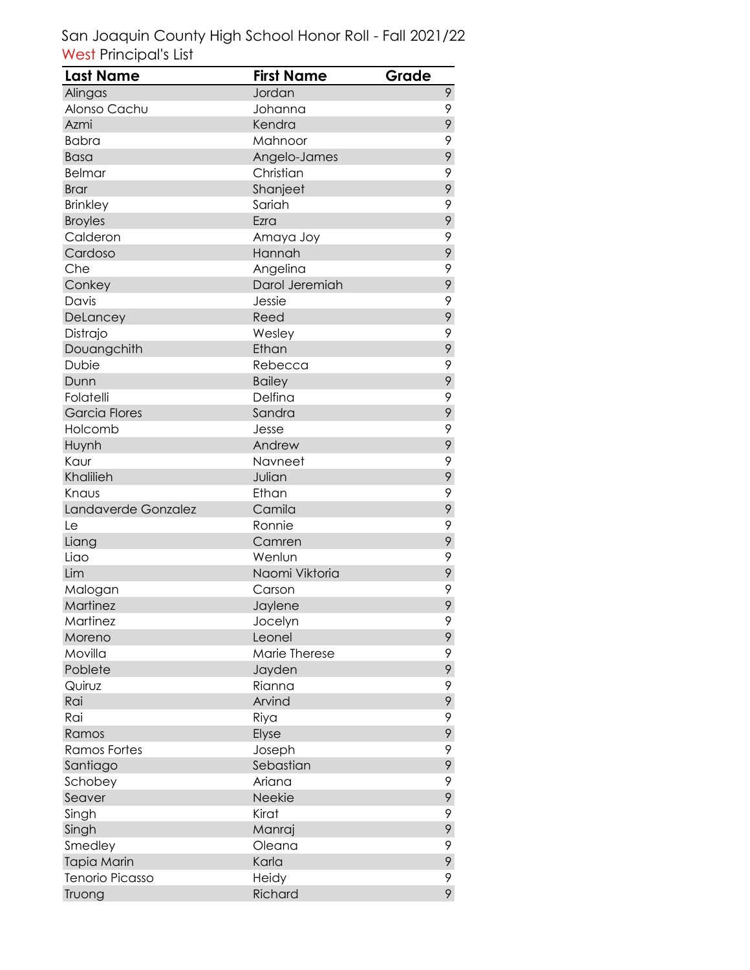| Last Name            | <b>First Name</b> | Grade |
|----------------------|-------------------|-------|
| Alingas              | Jordan            | 9     |
| Alonso Cachu         | Johanna           | 9     |
| Azmi                 | Kendra            | 9     |
| <b>Babra</b>         | Mahnoor           | 9     |
| <b>Basa</b>          | Angelo-James      | 9     |
| <b>Belmar</b>        | Christian         | 9     |
| <b>Brar</b>          | Shanjeet          | 9     |
| <b>Brinkley</b>      | Sariah            | 9     |
| <b>Broyles</b>       | Ezra              | 9     |
| Calderon             | Amaya Joy         | 9     |
| Cardoso              | Hannah            | 9     |
| Che                  | Angelina          | 9     |
| Conkey               | Darol Jeremiah    | 9     |
| Davis                | Jessie            | 9     |
| DeLancey             | Reed              | 9     |
| Distrajo             | Wesley            | 9     |
| Douangchith          | Ethan             | 9     |
| Dubie                | Rebecca           | 9     |
| Dunn                 | <b>Bailey</b>     | 9     |
| Folatelli            | Delfina           | 9     |
| <b>Garcia Flores</b> | Sandra            | 9     |
| Holcomb              | Jesse             | 9     |
| Huynh                | Andrew            | 9     |
| Kaur                 | Navneet           | 9     |
| Khalilieh            | Julian            | 9     |
| Knaus                | Ethan             | 9     |
| Landaverde Gonzalez  | Camila            | 9     |
| Le                   | Ronnie            | 9     |
| Liang                | Camren            | 9     |
| Liao                 | Wenlun            | 9     |
| Lim                  | Naomi Viktoria    | 9     |
| Malogan              | Carson            | 9     |
| Martinez             | Jaylene           | 9     |
| Martinez             | Jocelyn           | 9     |
| Moreno               | Leonel            | 9     |
| Movilla              | Marie Therese     | 9     |
| Poblete              | Jayden            | 9     |
| Quiruz               | Rianna            | 9     |
| Rai                  | Arvind            | 9     |
| Rai                  | Riya              | 9     |
| Ramos                | Elyse             | 9     |
| <b>Ramos Fortes</b>  | Joseph            | 9     |
| Santiago             | Sebastian         | 9     |
| Schobey              | Ariana            | 9     |
| Seaver               | Neekie            | 9     |
| Singh                | Kirat             | 9     |
| Singh                | Manraj            | 9     |
| Smedley              | Oleana            | 9     |
| Tapia Marin          | Karla             | 9     |
| Tenorio Picasso      | Heidy             | 9     |
| Truong               | Richard           | 9     |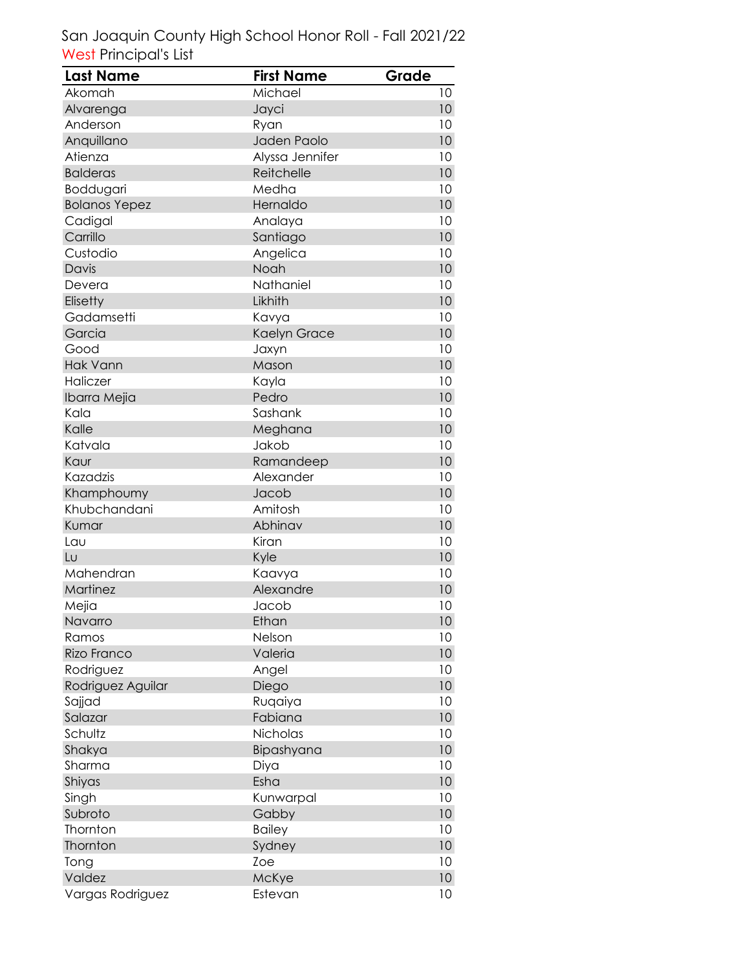| <b>Last Name</b>     | <b>First Name</b> | Grade |
|----------------------|-------------------|-------|
| Akomah               | Michael           | 10    |
| Alvarenga            | Jayci             | 10    |
| Anderson             | Ryan              | 10    |
| Anquillano           | Jaden Paolo       | 10    |
| Atienza              | Alyssa Jennifer   | 10    |
| <b>Balderas</b>      | Reitchelle        | 10    |
| Boddugari            | Medha             | 10    |
| <b>Bolanos Yepez</b> | Hernaldo          | 10    |
| Cadigal              | Analaya           | 10    |
| Carrillo             | Santiago          | 10    |
| Custodio             | Angelica          | 10    |
| Davis                | Noah              | 10    |
| Devera               | Nathaniel         | 10    |
| Elisetty             | Likhith           | 10    |
| Gadamsetti           | Kavya             | 10    |
| Garcia               | Kaelyn Grace      | 10    |
| Good                 | Jaxyn             | 10    |
| Hak Vann             | Mason             | 10    |
| Haliczer             | Kayla             | 10    |
| Ibarra Mejia         | Pedro             | 10    |
| Kala                 | Sashank           | 10    |
| Kalle                | Meghana           | 10    |
| Katvala              | Jakob             | 10    |
| Kaur                 | Ramandeep         | 10    |
| Kazadzis             | Alexander         | 10    |
| Khamphoumy           | Jacob             | 10    |
| Khubchandani         | Amitosh           | 10    |
| Kumar                | Abhinav           | 10    |
| Lau                  | Kiran             | 10    |
| Lυ                   | Kyle              | 10    |
| Mahendran            | Kaavya            | 10    |
| Martinez             | Alexandre         | 10    |
| Mejia                | Jacob             | 10    |
| Navarro              | Ethan             | 10    |
| Ramos                | Nelson            | 10    |
| Rizo Franco          | Valeria           | 10    |
| Rodriguez            | Angel             | 10    |
| Rodriguez Aguilar    | Diego             | 10    |
| Sajjad               | Ruqaiya           | 10    |
| Salazar              | Fabiana           | 10    |
| Schultz              | Nicholas          | 10    |
| Shakya               | Bipashyana        | 10    |
| Sharma               | Diya              | 10    |
| Shiyas               | Esha              | 10    |
| Singh                | Kunwarpal         | 10    |
| Subroto              | Gabby             | 10    |
| Thornton             | <b>Bailey</b>     | 10    |
| Thornton             | Sydney            | 10    |
| Tong                 | Zoe               | 10    |
| Valdez               | McKye             | 10    |
| Vargas Rodriguez     | Estevan           | 10    |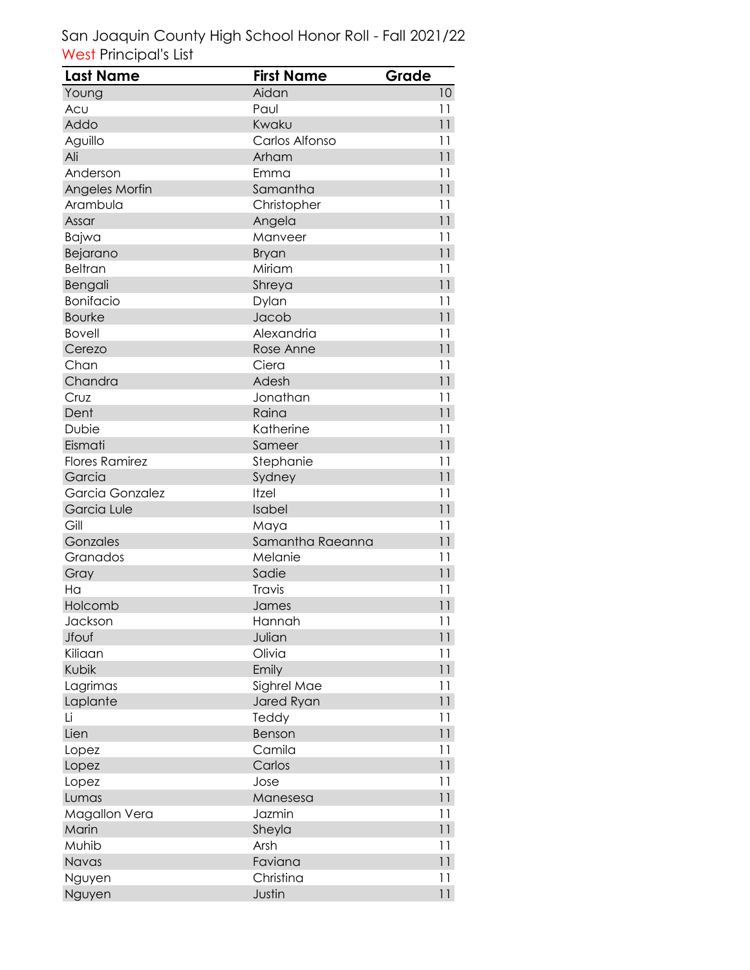| Last Name             | <b>First Name</b> | Grade |
|-----------------------|-------------------|-------|
| Young                 | Aidan             | 10    |
| Acu                   | Paul              | 11    |
| Addo                  | Kwaku             | 11    |
| Aguillo               | Carlos Alfonso    | 11    |
| Ali                   | Arham             | 11    |
| Anderson              | Emma              | 11    |
| Angeles Morfin        | Samantha          | 11    |
| Arambula              | Christopher       | 11    |
| Assar                 | Angela            | 11    |
| Bajwa                 | Manveer           | 11    |
| Bejarano              | <b>Bryan</b>      | 11    |
| <b>Beltran</b>        | Miriam            | 11    |
| Bengali               | Shreya            | 11    |
| <b>Bonifacio</b>      | Dylan             | 11    |
| <b>Bourke</b>         | Jacob             | 11    |
| <b>Bovell</b>         | Alexandria        | 11    |
| Cerezo                | Rose Anne         | 11    |
| Chan                  | Ciera             | 11    |
| Chandra               | Adesh             | 11    |
| Cruz                  | Jonathan          | 11    |
| Dent                  | Raina             | 11    |
| Dubie                 | Katherine         | 11    |
| Eismati               | Sameer            | 11    |
| <b>Flores Ramirez</b> | Stephanie         | 11    |
| Garcia                | Sydney            | 11    |
| Garcia Gonzalez       | Itzel             | 11    |
| Garcia Lule           | Isabel            | 11    |
| Gill                  | Maya              | 11    |
| Gonzales              | Samantha Raeanna  | 11    |
| Granados              | Melanie           | 11    |
| Gray                  | Sadie             | 11    |
| Ha                    | Travis            | 11    |
| Holcomb               | James             | 11    |
| Jackson               | Hannah            | 11    |
| Jfouf                 | Julian            | 11    |
| Kiliaan               | Olivia            | 11    |
| Kubik                 | Emily             | 11    |
| Lagrimas              | Sighrel Mae       | 11    |
| Laplante              | Jared Ryan        | 11    |
| Li                    | Teddy             | 11    |
| Lien                  | Benson            | 11    |
| Lopez                 | Camila            | 11    |
| Lopez                 | Carlos            | 11    |
| Lopez                 | Jose              | 11    |
| Lumas                 | Manesesa          | 11    |
| Magallon Vera         | Jazmin            | 11    |
| Marin                 | Sheyla            | 11    |
| Muhib                 | Arsh              | 11    |
| Navas                 | Faviana           | 11    |
| Nguyen                | Christina         | 11    |
| Nguyen                | Justin            | 11    |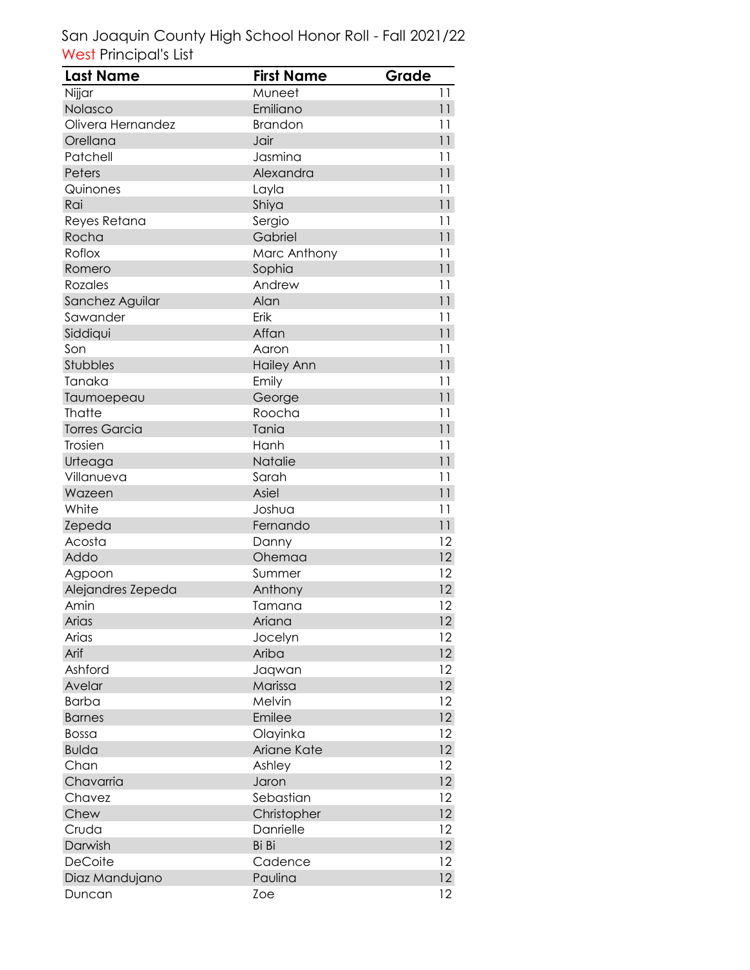| Last Name            | <b>First Name</b> | Grade           |
|----------------------|-------------------|-----------------|
| Nijjar               | Muneet            | 11              |
| Nolasco              | Emiliano          | 11              |
| Olivera Hernandez    | <b>Brandon</b>    | 11              |
| Orellana             | Jair              | 11              |
| Patchell             | Jasmina           | 11              |
| Peters               | Alexandra         | 11              |
| Quinones             | Layla             | 11              |
| Rai                  | Shiya             | 11              |
| Reyes Retana         | Sergio            | 11              |
| Rocha                | Gabriel           | 11              |
| Roflox               | Marc Anthony      | 11              |
| Romero               | Sophia            | 11              |
| Rozales              | Andrew            | 11              |
| Sanchez Aguilar      | Alan              | 11              |
| Sawander             | Erik              | 11              |
| Siddiqui             | Affan             | 11              |
| Son                  | Aaron             | 11              |
| Stubbles             | <b>Hailey Ann</b> | 11              |
| Tanaka               | Emily             | 11              |
| Taumoepeau           | George            | 11              |
| <b>Thatte</b>        | Roocha            | 11              |
| <b>Torres Garcia</b> | Tania             | 11              |
| Trosien              | Hanh              | 11              |
| Urteaga              | Natalie           | 11              |
| Villanueva           | Sarah             | 11              |
| Wazeen               | Asiel             | 11              |
| White                | Joshua            | 11              |
| Zepeda               | Fernando          | 11              |
| Acosta               | Danny             | 12              |
| Addo                 | Ohemaa            | 12              |
| Agpoon               | Summer            | 12              |
| Alejandres Zepeda    | Anthony           | 12              |
| Amin                 | Tamana            | 12              |
| Arias                | Ariana            | 12              |
| Arias                | Jocelyn           | 12              |
| Arif                 | Ariba             | 12              |
| Ashford              | Jaqwan            | 12              |
| Avelar               | Marissa           | 12              |
| <b>Barba</b>         | Melvin            | 12              |
| <b>Barnes</b>        | Emilee            | $12 \,$         |
| Bossa                | Olayinka          | 12              |
| <b>Bulda</b>         | Ariane Kate       | 12 <sup>°</sup> |
| Chan                 | Ashley            | 12              |
| Chavarria            | Jaron             | 12 <sup>°</sup> |
| Chavez               | Sebastian         | 12              |
| Chew                 | Christopher       | 12              |
| Cruda                | Danrielle         | 12              |
| Darwish              | Bi Bi             | 12 <sup>°</sup> |
| DeCoite              | Cadence           | 12              |
| Diaz Mandujano       | Paulina           | 12              |
| Duncan               | Zoe               | 12              |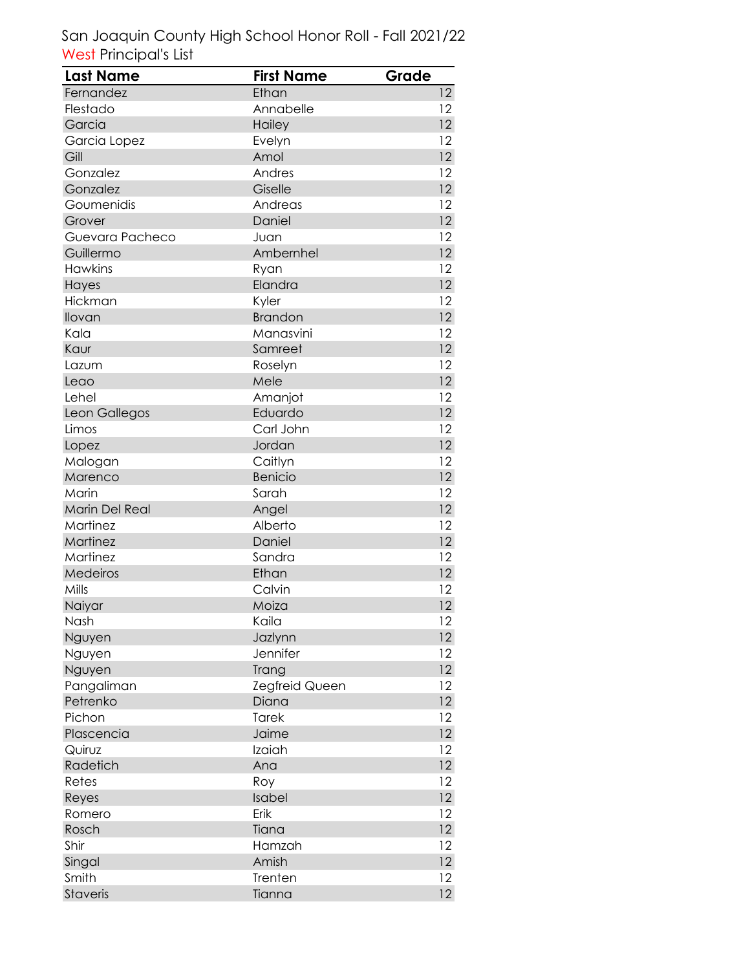| <b>Last Name</b> | <b>First Name</b>     | Grade             |
|------------------|-----------------------|-------------------|
| Fernandez        | Ethan                 | 12                |
| Flestado         | Annabelle             | 12                |
| Garcia           | Hailey                | 12                |
| Garcia Lopez     | Evelyn                | 12                |
| Gill             | Amol                  | 12                |
| Gonzalez         | Andres                | 12                |
| Gonzalez         | Giselle               | 12                |
| Goumenidis       | Andreas               | 12                |
| Grover           | Daniel                | 12                |
| Guevara Pacheco  | Juan                  | 12                |
| Guillermo        | Ambernhel             | 12                |
| <b>Hawkins</b>   | Ryan                  | 12                |
| Hayes            | Elandra               | 12                |
| Hickman          | Kyler                 | 12                |
| Ilovan           | <b>Brandon</b>        | 12 <sup>°</sup>   |
| Kala             | Manasvini             | 12                |
| Kaur             | Samreet               | 12                |
| Lazum            | Roselyn               | 12                |
| Leao             | Mele                  | 12                |
| Lehel            | Amanjot               | 12                |
| Leon Gallegos    | Eduardo               | 12                |
| Limos            | Carl John             | 12                |
| Lopez            | Jordan                | 12 <sup>°</sup>   |
| Malogan          | Caitlyn               | 12                |
| Marenco          | <b>Benicio</b>        | 12                |
| Marin            | Sarah                 | 12                |
| Marin Del Real   | Angel                 | 12 <sup>2</sup>   |
| Martinez         | Alberto               | 12                |
| Martinez         | Daniel                | 12                |
| Martinez         | Sandra                | 12                |
| Medeiros         | Ethan                 | 12                |
| Mills            | Calvin                | 12                |
| Naiyar           | Moiza                 | 12                |
| Nash             | Kaila                 | 12                |
| Nguyen           | Jazlynn               | 12                |
| Nguyen           | Jennifer              | 12                |
| Nguyen           | Trang                 | 12                |
| Pangaliman       | <b>Zegfreid Queen</b> | 12                |
| Petrenko         | Diana                 | 12 <sup>°</sup>   |
| Pichon           | Tarek                 | 12                |
| Plascencia       | Jaime                 | 12                |
| Quiruz           | Izaiah                | 12                |
| Radetich         | Ana                   | $12 \,$           |
| Retes            | Roy                   | 12                |
| Reyes            | Isabel                | $12 \,$           |
| Romero           | Erik                  | 12                |
| Rosch            | Tiana                 | 12                |
| Shir             | Hamzah                | 12                |
| Singal           | Amish                 | 12 <sup>°</sup>   |
| Smith            | Trenten               | 12                |
| Staveris         | Tianna                | $12 \overline{ }$ |